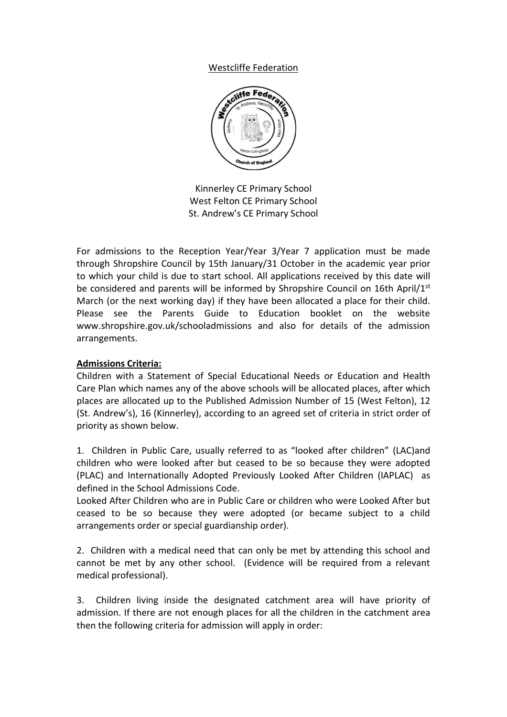## Westcliffe Federation



Kinnerley CE Primary School West Felton CE Primary School St. Andrew's CE Primary School

For admissions to the Reception Year/Year 3/Year 7 application must be made through Shropshire Council by 15th January/31 October in the academic year prior to which your child is due to start school. All applications received by this date will be considered and parents will be informed by Shropshire Council on 16th April/1st March (or the next working day) if they have been allocated a place for their child. Please see the Parents Guide to Education booklet on the website www.shropshire.gov.uk/schooladmissions and also for details of the admission arrangements.

## **Admissions Criteria:**

Children with a Statement of Special Educational Needs or Education and Health Care Plan which names any of the above schools will be allocated places, after which places are allocated up to the Published Admission Number of 15 (West Felton), 12 (St. Andrew's), 16 (Kinnerley), according to an agreed set of criteria in strict order of priority as shown below.

1. Children in Public Care, usually referred to as "looked after children" (LAC)and children who were looked after but ceased to be so because they were adopted (PLAC) and Internationally Adopted Previously Looked After Children (IAPLAC) as defined in the School Admissions Code.

Looked After Children who are in Public Care or children who were Looked After but ceased to be so because they were adopted (or became subject to a child arrangements order or special guardianship order).

2. Children with a medical need that can only be met by attending this school and cannot be met by any other school. (Evidence will be required from a relevant medical professional).

3. Children living inside the designated catchment area will have priority of admission. If there are not enough places for all the children in the catchment area then the following criteria for admission will apply in order: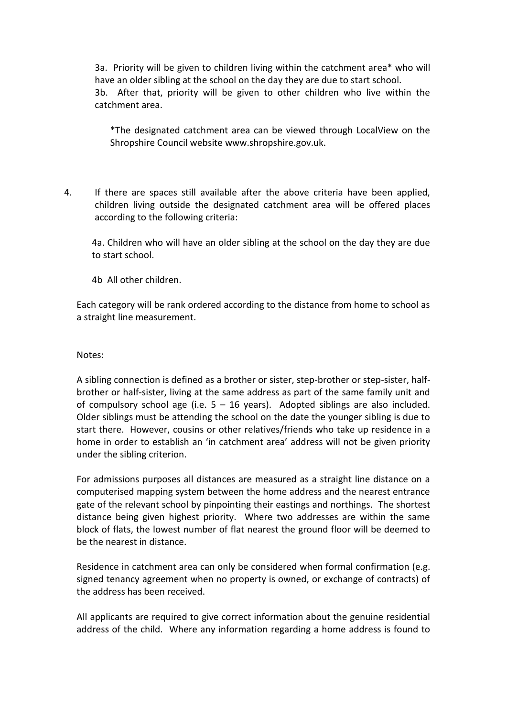3a. Priority will be given to children living within the catchment area\* who will have an older sibling at the school on the day they are due to start school. 3b. After that, priority will be given to other children who live within the catchment area.

\*The designated catchment area can be viewed through LocalView on the Shropshire Council website www.shropshire.gov.uk.

4. If there are spaces still available after the above criteria have been applied, children living outside the designated catchment area will be offered places according to the following criteria:

4a. Children who will have an older sibling at the school on the day they are due to start school.

4b All other children.

Each category will be rank ordered according to the distance from home to school as a straight line measurement.

Notes:

A sibling connection is defined as a brother or sister, step-brother or step-sister, halfbrother or half-sister, living at the same address as part of the same family unit and of compulsory school age (i.e.  $5 - 16$  years). Adopted siblings are also included. Older siblings must be attending the school on the date the younger sibling is due to start there. However, cousins or other relatives/friends who take up residence in a home in order to establish an 'in catchment area' address will not be given priority under the sibling criterion.

For admissions purposes all distances are measured as a straight line distance on a computerised mapping system between the home address and the nearest entrance gate of the relevant school by pinpointing their eastings and northings. The shortest distance being given highest priority. Where two addresses are within the same block of flats, the lowest number of flat nearest the ground floor will be deemed to be the nearest in distance.

Residence in catchment area can only be considered when formal confirmation (e.g. signed tenancy agreement when no property is owned, or exchange of contracts) of the address has been received.

All applicants are required to give correct information about the genuine residential address of the child. Where any information regarding a home address is found to